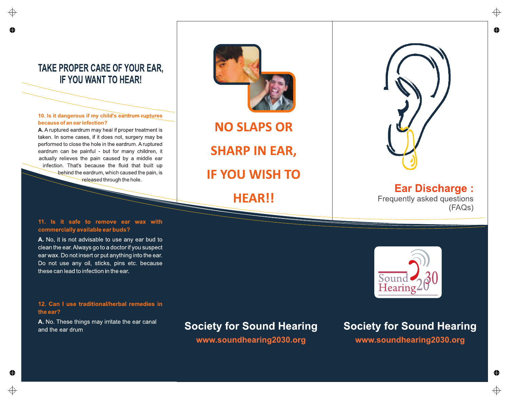## **TAKE PROPER CARE OF YOUR EAR, IF YOU WANT TO HEAR!**

**10. Is it dangerous if my chil**d'**s eardrum-ruptures because of an ear infection?** 

**A. A ruptured eardrum may heal if proper treatment is taken. In some cases, if it does not, surgery may be performed to close the hole in the eardrum. A ruptured eardrum can be painful - but for many children, it actually relieves the pain caused by a middle ear infection. That's because the fluid that built up behind the eardrum, which caused the pain, is released through the hole.** 

#### **11. Is it safe to remove ear wax with commercially available ear buds?**

**A. No, it is not advisable to use any ear bud to clean the ear. Always go to a doctor if you suspect ear wax. Do not insert or put anything into the ear. Do not use any oil, sticks, pins etc. because these can lead to infection in the ear.** 

#### **12. Can I use traditional/herbal remedies in the ear?**

**A. No. These things may irritate the ear canal and the ear drum**

♠

# **Society for Sound Hearing**

**[www.soundhearing2030.org](http://www.soundhearing2030.org/)**

# **Society for Sound Hearing [www.soundhearing2030.org](http://www.soundhearing2030.org/)**

**Ear Discharge : Frequently asked questions (FAQs)** 





**NO SLAPS OR SHARP IN EAR, IF YOU WISH TO** 

**HEAR! !** 

Sound Hearing ⊕